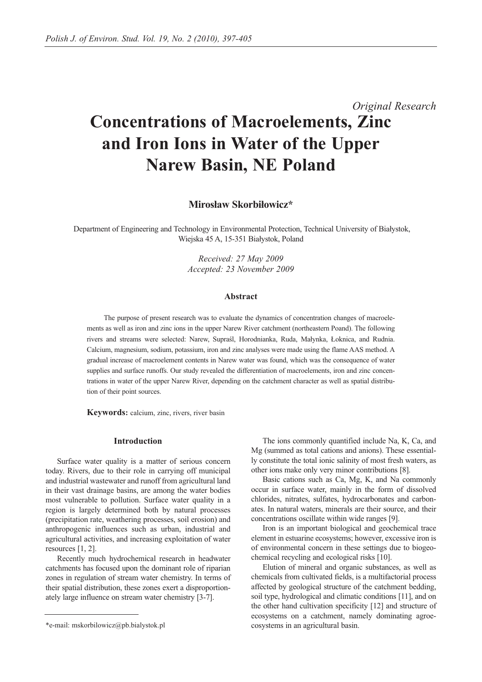# *Original Research* **Concentrations of Macroelements, Zinc and Iron Ions in Water of the Upper Narew Basin, NE Poland**

**Mirosław Skorbiłowicz\*** 

Department of Engineering and Technology in Environmental Protection, Technical University of Białystok, Wiejska 45 A, 15-351 Białystok, Poland

> *Received: 27 May 2009 Accepted: 23 November 2009*

## **Abstract**

The purpose of present research was to evaluate the dynamics of concentration changes of macroelements as well as iron and zinc ions in the upper Narew River catchment (northeastern Poand). The following rivers and streams were selected: Narew, Supraśl, Horodnianka, Ruda, Małynka, Łoknica, and Rudnia. Calcium, magnesium, sodium, potassium, iron and zinc analyses were made using the flame AAS method. A gradual increase of macroelement contents in Narew water was found, which was the consequence of water supplies and surface runoffs. Our study revealed the differentiation of macroelements, iron and zinc concentrations in water of the upper Narew River, depending on the catchment character as well as spatial distribution of their point sources.

**Keywords:** calcium, zinc, rivers, river basin

## **Introduction**

Surface water quality is a matter of serious concern today. Rivers, due to their role in carrying off municipal and industrial wastewater and runoff from agricultural land in their vast drainage basins, are among the water bodies most vulnerable to pollution. Surface water quality in a region is largely determined both by natural processes (precipitation rate, weathering processes, soil erosion) and anthropogenic influences such as urban, industrial and agricultural activities, and increasing exploitation of water resources [1, 2].

Recently much hydrochemical research in headwater catchments has focused upon the dominant role of riparian zones in regulation of stream water chemistry. In terms of their spatial distribution, these zones exert a disproportionately large influence on stream water chemistry [3-7].

The ions commonly quantified include Na, K, Ca, and Mg (summed as total cations and anions). These essentially constitute the total ionic salinity of most fresh waters, as other ions make only very minor contributions [8].

Basic cations such as Ca, Mg, K, and Na commonly occur in surface water, mainly in the form of dissolved chlorides, nitrates, sulfates, hydrocarbonates and carbonates. In natural waters, minerals are their source, and their concentrations oscillate within wide ranges [9].

Iron is an important biological and geochemical trace element in estuarine ecosystems; however, excessive iron is of environmental concern in these settings due to biogeochemical recycling and ecological risks [10].

Elution of mineral and organic substances, as well as chemicals from cultivated fields, is a multifactorial process affected by geological structure of the catchment bedding, soil type, hydrological and climatic conditions [11], and on the other hand cultivation specificity [12] and structure of ecosystems on a catchment, namely dominating agroecosystems in an agricultural basin.

<sup>\*</sup>e-mail: mskorbilowicz@pb.bialystok.pl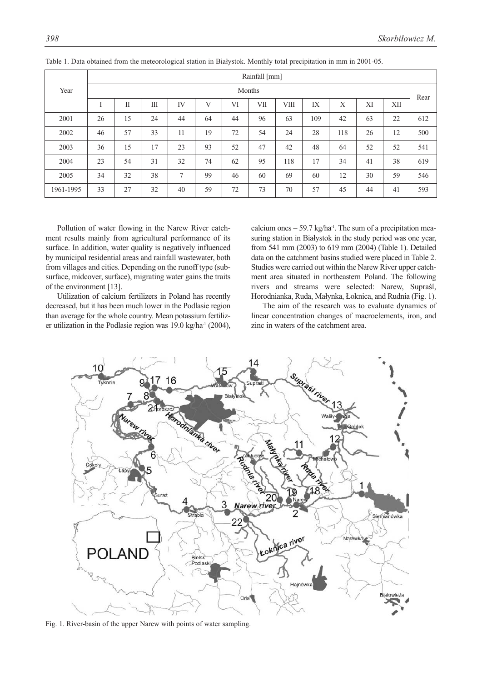|           | Rainfall [mm] |    |    |    |    |    |     |      |      |     |    |     |     |
|-----------|---------------|----|----|----|----|----|-----|------|------|-----|----|-----|-----|
| Year      | Months        |    |    |    |    |    |     |      | Rear |     |    |     |     |
|           |               | П  | Ш  | IV | V  | VI | VII | VIII | IX   | X   | XI | XII |     |
| 2001      | 26            | 15 | 24 | 44 | 64 | 44 | 96  | 63   | 109  | 42  | 63 | 22  | 612 |
| 2002      | 46            | 57 | 33 | 11 | 19 | 72 | 54  | 24   | 28   | 118 | 26 | 12  | 500 |
| 2003      | 36            | 15 | 17 | 23 | 93 | 52 | 47  | 42   | 48   | 64  | 52 | 52  | 541 |
| 2004      | 23            | 54 | 31 | 32 | 74 | 62 | 95  | 118  | 17   | 34  | 41 | 38  | 619 |
| 2005      | 34            | 32 | 38 | 7  | 99 | 46 | 60  | 69   | 60   | 12  | 30 | 59  | 546 |
| 1961-1995 | 33            | 27 | 32 | 40 | 59 | 72 | 73  | 70   | 57   | 45  | 44 | 41  | 593 |

Table 1. Data obtained from the meteorological station in Białystok. Monthly total precipitation in mm in 2001-05.

Pollution of water flowing in the Narew River catchment results mainly from agricultural performance of its surface. In addition, water quality is negatively influenced by municipal residential areas and rainfall wastewater, both from villages and cities. Depending on the runoff type (subsurface, midcover, surface), migrating water gains the traits of the environment [13].

Utilization of calcium fertilizers in Poland has recently decreased, but it has been much lower in the Podlasie region than average for the whole country. Mean potassium fertilizer utilization in the Podlasie region was 19.0 kg/ha-1 (2004), calcium ones  $-59.7 \text{ kg/ha}$ <sup>1</sup>. The sum of a precipitation measuring station in Białystok in the study period was one year, from 541 mm (2003) to 619 mm (2004) (Table 1). Detailed data on the catchment basins studied were placed in Table 2. Studies were carried out within the Narew River upper catchment area situated in northeastern Poland. The following rivers and streams were selected: Narew, Supraśl, Horodnianka, Ruda, Małynka, Łoknica, and Rudnia (Fig. 1).

The aim of the research was to evaluate dynamics of linear concentration changes of macroelements, iron, and zinc in waters of the catchment area.



Fig. 1. River-basin of the upper Narew with points of water sampling.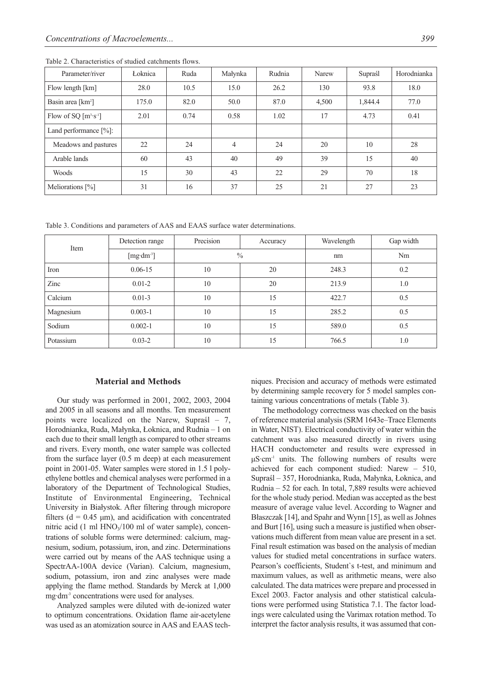| Parameter/river               | Łoknica | Ruda | Małynka        | Rudnia | Narew | Supraśl | Horodnianka |
|-------------------------------|---------|------|----------------|--------|-------|---------|-------------|
| Flow length [km]              | 28.0    | 10.5 | 15.0           | 26.2   | 130   | 93.8    | 18.0        |
| Basin area [km <sup>2</sup> ] | 175.0   | 82.0 | 50.0           | 87.0   | 4,500 | 1,844.4 | 77.0        |
| Flow of SQ $[m^3 \cdot s^1]$  | 2.01    | 0.74 | 0.58           | 1.02   | 17    | 4.73    | 0.41        |
| Land performance $[\%]$ :     |         |      |                |        |       |         |             |
| Meadows and pastures          | 22      | 24   | $\overline{4}$ | 24     | 20    | 10      | 28          |
| Arable lands                  | 60      | 43   | 40             | 49     | 39    | 15      | 40          |
| <b>Woods</b>                  | 15      | 30   | 43             | 22     | 29    | 70      | 18          |
| Meliorations $[\%]$           | 31      | 16   | 37             | 25     | 21    | 27      | 23          |

Table 2. Characteristics of studied catchments flows.

Table 3. Conditions and parameters of AAS and EAAS surface water determinations.

| Item      | Detection range                | Precision | Accuracy      | Wavelength | Gap width |
|-----------|--------------------------------|-----------|---------------|------------|-----------|
|           | [ $mg \cdot dm$ <sup>3</sup> ] |           | $\frac{0}{0}$ | nm         | Nm        |
| Iron      | $0.06 - 15$                    | 10        | 20            | 248.3      | 0.2       |
| Zinc      | $0.01 - 2$                     | 10        | 20            | 213.9      | 1.0       |
| Calcium   | $0.01 - 3$                     | 10        | 15            | 422.7      | 0.5       |
| Magnesium | $0.003 - 1$                    | 10        | 15            | 285.2      | 0.5       |
| Sodium    | $0.002 - 1$                    | 10        | 15            | 589.0      | 0.5       |
| Potassium | $0.03 - 2$                     | 10        | 15            | 766.5      | 1.0       |

## **Material and Methods**

Our study was performed in 2001, 2002, 2003, 2004 and 2005 in all seasons and all months. Ten measurement points were localized on the Narew, Supraśl – 7, Horodnianka, Ruda, Małynka, Łoknica, and Rudnia – 1 on each due to their small length as compared to other streams and rivers. Every month, one water sample was collected from the surface layer (0.5 m deep) at each measurement point in 2001-05. Water samples were stored in 1.5 l polyethylene bottles and chemical analyses were performed in a laboratory of the Department of Technological Studies, Institute of Environmental Engineering, Technical University in Białystok. After filtering through micropore filters ( $d = 0.45 \mu m$ ), and acidification with concentrated nitric acid (1 ml  $HNO<sub>3</sub>/100$  ml of water sample), concentrations of soluble forms were determined: calcium, magnesium, sodium, potassium, iron, and zinc. Determinations were carried out by means of the AAS technique using a SpectrAA-100A device (Varian). Calcium, magnesium, sodium, potassium, iron and zinc analyses were made applying the flame method. Standards by Merck at 1,000 mg·dm-3 concentrations were used for analyses.

Analyzed samples were diluted with de-ionized water to optimum concentrations. Oxidation flame air-acetylene was used as an atomization source in AAS and EAAS techniques. Precision and accuracy of methods were estimated by determining sample recovery for 5 model samples containing various concentrations of metals (Table 3).

The methodology correctness was checked on the basis of reference material analysis (SRM 1643e–Trace Elements in Water, NIST). Electrical conductivity of water within the catchment was also measured directly in rivers using HACH conductometer and results were expressed in μS·cm-1 units. The following numbers of results were achieved for each component studied: Narew – 510, Supraśl – 357, Horodnianka, Ruda, Małynka, Łoknica, and Rudnia – 52 for each. In total, 7,889 results were achieved for the whole study period. Median was accepted as the best measure of average value level. According to Wagner and Błaszczak [14], and Spahr and Wynn [15], as well as Johnes and Burt [16], using such a measure is justified when observations much different from mean value are present in a set. Final result estimation was based on the analysis of median values for studied metal concentrations in surface waters. Pearson's coefficients, Student`s t-test, and minimum and maximum values, as well as arithmetic means, were also calculated. The data matrices were prepare and processed in Excel 2003. Factor analysis and other statistical calculations were performed using Statistica 7.1. The factor loadings were calculated using the Varimax rotation method. To interpret the factor analysis results, it was assumed that con-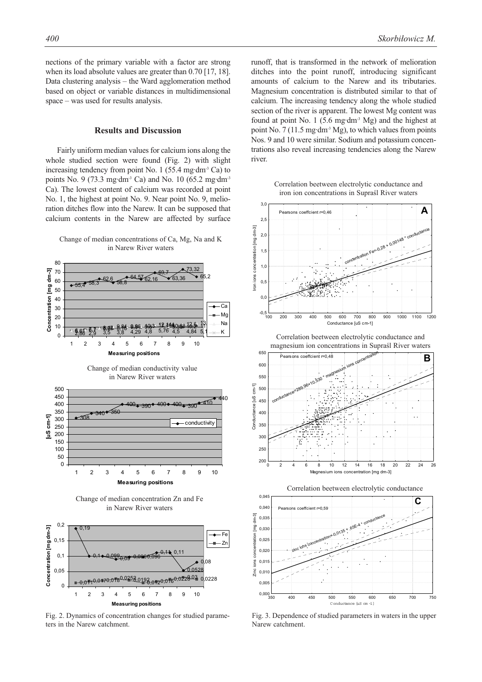*400 Skorbiłowicz M.*

nections of the primary variable with a factor are strong when its load absolute values are greater than 0.70 [17, 18]. Data clustering analysis – the Ward agglomeration method based on object or variable distances in multidimensional space – was used for results analysis.

# **Results and Discussion**

Fairly uniform median values for calcium ions along the whole studied section were found (Fig. 2) with slight increasing tendency from point No. 1 (55.4 mg·dm<sup>-3</sup> Ca) to points No. 9 (73.3 mg·dm<sup>-3</sup> Ca) and No. 10 (65.2 mg·dm<sup>-3</sup> Ca). The lowest content of calcium was recorded at point No. 1, the highest at point No. 9. Near point No. 9, melioration ditches flow into the Narew. It can be supposed that calcium contents in the Narew are affected by surface





Fig. 2. Dynamics of concentration changes for studied parameters in the Narew catchment.

runoff, that is transformed in the network of melioration ditches into the point runoff, introducing significant amounts of calcium to the Narew and its tributaries. Magnesium concentration is distributed similar to that of calcium. The increasing tendency along the whole studied section of the river is apparent. The lowest Mg content was found at point No. 1 (5.6 mg·dm<sup>-3</sup> Mg) and the highest at point No. 7 (11.5 mg·dm<sup>-3</sup> Mg), to which values from points Nos. 9 and 10 were similar. Sodium and potassium concentrations also reveal increasing tendencies along the Narew river.

iron ion concentrations in Supraśl River waters Correlation beetween electrolytic conductance and



Correlation between electrolytic conductance Correlation beetween electrolytic conductance and magnesium ion concentrations in Supraśl River waters







Fig. 3. Dependence of studied parameters in waters in the upper Narew catchment.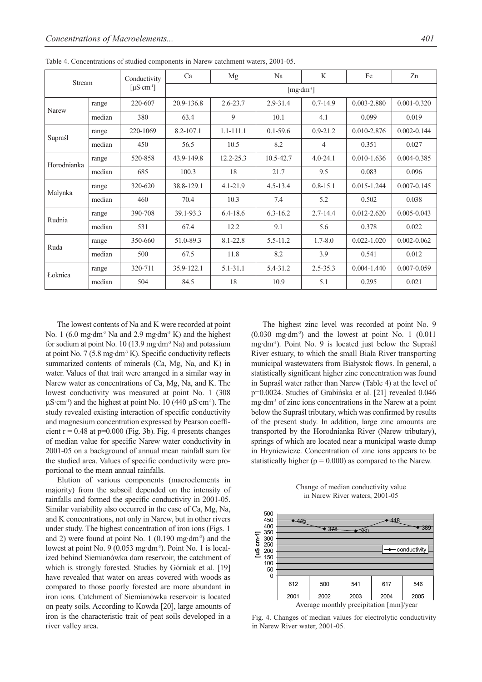| Stream      |        | Conductivity                        | Ca                     | Mg            | Na           | K            | Fe              | Zn              |  |
|-------------|--------|-------------------------------------|------------------------|---------------|--------------|--------------|-----------------|-----------------|--|
|             |        | $\lceil \mu S \cdot cm^{-1} \rceil$ | [ $mg \cdot dm^{-3}$ ] |               |              |              |                 |                 |  |
| Narew       | range  | 220-607                             | 20.9-136.8             | $2.6 - 23.7$  | $2.9 - 31.4$ | $0.7 - 14.9$ | 0.003-2.880     | $0.001 - 0.320$ |  |
|             | median | 380                                 | 63.4                   | 9             | 10.1         | 4.1          | 0.099           | 0.019           |  |
|             | range  | 220-1069                            | 8.2-107.1              | $1.1 - 111.1$ | $0.1 - 59.6$ | $0.9 - 21.2$ | 0.010-2.876     | $0.002 - 0.144$ |  |
| Supraśl     | median | 450                                 | 56.5                   | 10.5          | 8.2          | 4            | 0.351           | 0.027           |  |
| Horodnianka | range  | 520-858                             | 43.9-149.8             | 12.2-25.3     | 10.5-42.7    | $4.0 - 24.1$ | $0.010 - 1.636$ | 0.004-0.385     |  |
|             | median | 685                                 | 100.3                  | 18            | 21.7         | 9.5          | 0.083           | 0.096           |  |
| Małynka     | range  | 320-620                             | 38.8-129.1             | $4.1 - 21.9$  | $4.5 - 13.4$ | $0.8 - 15.1$ | $0.015 - 1.244$ | $0.007 - 0.145$ |  |
|             | median | 460                                 | 70.4                   | 10.3          | 7.4          | 5.2          | 0.502           | 0.038           |  |
| Rudnia      | range  | 390-708                             | 39.1-93.3              | $6.4 - 18.6$  | $6.3 - 16.2$ | $2.7 - 14.4$ | $0.012 - 2.620$ | $0.005 - 0.043$ |  |
|             | median | 531                                 | 67.4                   | 12.2          | 9.1          | 5.6          | 0.378           | 0.022           |  |
| Ruda        | range  | 350-660                             | 51.0-89.3              | $8.1 - 22.8$  | $5.5 - 11.2$ | $1.7 - 8.0$  | $0.022 - 1.020$ | $0.002 - 0.062$ |  |
|             | median | 500                                 | 67.5                   | 11.8          | 8.2          | 3.9          | 0.541           | 0.012           |  |
| Łoknica     | range  | 320-711                             | 35.9-122.1             | 5.1-31.1      | 5.4-31.2     | $2.5 - 35.3$ | $0.004 - 1.440$ | 0.007-0.059     |  |
|             | median | 504                                 | 84.5                   | 18            | 10.9         | 5.1          | 0.295           | 0.021           |  |

Table 4. Concentrations of studied components in Narew catchment waters, 2001-05.

The lowest contents of Na and K were recorded at point No. 1 (6.0 mg·dm<sup>-3</sup> Na and 2.9 mg·dm<sup>-3</sup> K) and the highest for sodium at point No. 10 (13.9 mg·dm-3 Na) and potassium at point No.  $7(5.8 \text{ mg} \cdot \text{dm}^3 \text{ K})$ . Specific conductivity reflects summarized contents of minerals (Ca, Mg, Na, and K) in water. Values of that trait were arranged in a similar way in Narew water as concentrations of Ca, Mg, Na, and K. The lowest conductivity was measured at point No. 1 (308  $\mu$ S·cm<sup>-1</sup>) and the highest at point No. 10 (440  $\mu$ S·cm<sup>-1</sup>). The study revealed existing interaction of specific conductivity and magnesium concentration expressed by Pearson coefficient  $r = 0.48$  at  $p=0.000$  (Fig. 3b). Fig. 4 presents changes of median value for specific Narew water conductivity in 2001-05 on a background of annual mean rainfall sum for the studied area. Values of specific conductivity were proportional to the mean annual rainfalls.

Elution of various components (macroelements in majority) from the subsoil depended on the intensity of rainfalls and formed the specific conductivity in 2001-05. Similar variability also occurred in the case of Ca, Mg, Na, and K concentrations, not only in Narew, but in other rivers under study. The highest concentration of iron ions (Figs. 1 and 2) were found at point No.  $1(0.190 \text{ mg} \cdot \text{dm}^3)$  and the lowest at point No. 9 (0.053 mg·dm-3). Point No. 1 is localized behind Siemianówka dam reservoir, the catchment of which is strongly forested. Studies by Górniak et al. [19] have revealed that water on areas covered with woods as compared to those poorly forested are more abundant in iron ions. Catchment of Siemianówka reservoir is located on peaty soils. According to Kowda [20], large amounts of iron is the characteristic trait of peat soils developed in a river valley area.

The highest zinc level was recorded at point No. 9  $(0.030 \text{ mg} \cdot \text{dm}^3)$  and the lowest at point No. 1  $(0.011$ mg·dm-3). Point No. 9 is located just below the Supraśl River estuary, to which the small Biała River transporting municipal wastewaters from Białystok flows. In general, a statistically significant higher zinc concentration was found in Supraśl water rather than Narew (Table 4) at the level of p=0.0024. Studies of Grabińska et al. [21] revealed 0.046 mg·dm-3 of zinc ions concentrations in the Narew at a point below the Supraśl tributary, which was confirmed by results of the present study. In addition, large zinc amounts are transported by the Horodnianka River (Narew tributary), springs of which are located near a municipal waste dump in Hryniewicze. Concentration of zinc ions appears to be statistically higher ( $p = 0.000$ ) as compared to the Narew.

Change of median conductivity value in Narew River waters, 2001-05



Fig. 4. Changes of median values for electrolytic conductivity in Narew River water, 2001-05.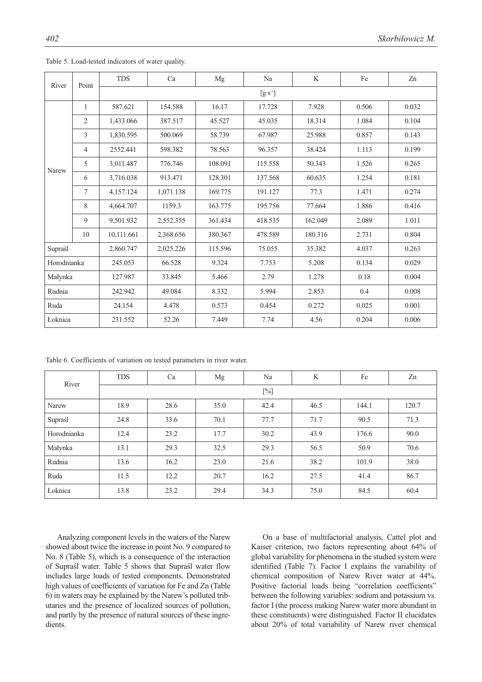|             |                | <b>TDS</b> | Ca        | Mg      | Na      | K       | Fe    | Zn    |  |  |
|-------------|----------------|------------|-----------|---------|---------|---------|-------|-------|--|--|
| River       | Point          | $[g's-1]$  |           |         |         |         |       |       |  |  |
|             | 1              | 587.621    | 154.588   | 16.17   | 17.728  | 7.928   | 0.506 | 0.032 |  |  |
|             | $\overline{2}$ | 1,433.066  | 387.517   | 45.527  | 45.035  | 18.314  | 1.084 | 0.104 |  |  |
|             | 3              | 1,830.595  | 500.069   | 58.739  | 67.987  | 25.988  | 0.857 | 0.143 |  |  |
|             | $\overline{4}$ | 2552.441   | 598.382   | 78.563  | 96.357  | 38.424  | 1.113 | 0.199 |  |  |
| Narew       | 5              | 3,011.487  | 776.746   | 108.091 | 115.558 | 50.343  | 1.526 | 0.265 |  |  |
|             | 6              | 3,716.038  | 913.471   | 128.301 | 137.568 | 60.635  | 1.254 | 0.181 |  |  |
|             | 7              | 4,157.124  | 1,071.138 | 169.775 | 191.127 | 77.3    | 1.471 | 0.274 |  |  |
|             | 8              | 4,664.707  | 1159.3    | 163.775 | 195.756 | 77.664  | 1.886 | 0.416 |  |  |
|             | 9              | 9,501.932  | 2,552.355 | 361.434 | 418.535 | 162.049 | 2.089 | 1.011 |  |  |
|             | 10             | 10,111.661 | 2,368.656 | 380.367 | 478.589 | 180.316 | 2.731 | 0.804 |  |  |
| Supraśl     |                | 2,860.747  | 2,025.226 | 115.596 | 75.055  | 35.382  | 4.037 | 0.263 |  |  |
| Horodnianka |                | 245.053    | 66.528    | 9.324   | 7.753   | 5.208   | 0.134 | 0.029 |  |  |
| Małynka     |                | 127.987    | 33.845    | 5.466   | 2.79    | 1.278   | 0.18  | 0.004 |  |  |
| Rudnia      |                | 242.942    | 49.084    | 8.332   | 5.994   | 2.853   | 0.4   | 0.008 |  |  |
| Ruda        |                | 24.154     | 4.478     | 0.573   | 0.454   | 0.272   | 0.025 | 0.001 |  |  |
| Łoknica     |                | 231.552    | 52.26     | 7.449   | 7.74    | 4.56    | 0.204 | 0.006 |  |  |

Table 5. Load-tested indicators of water quality.

Table 6. Coefficients of variation on tested parameters in river water.

| River       | <b>TDS</b> | Ca   | Mg   | Na   | K    | Fe    | Zn    |  |  |
|-------------|------------|------|------|------|------|-------|-------|--|--|
|             | $[\%]$     |      |      |      |      |       |       |  |  |
| Narew       | 18.9       | 28.6 | 35.0 | 42.4 | 46.5 | 144.1 | 120.7 |  |  |
| Supraśl     | 24.8       | 33.6 | 70.1 | 77.7 | 71.7 | 90.5  | 71.3  |  |  |
| Horodnianka | 12.4       | 23.2 | 17.7 | 30.2 | 43.9 | 176.6 | 90.0  |  |  |
| Małynka     | 13.1       | 29.3 | 32.5 | 29.3 | 56.5 | 50.9  | 70.6  |  |  |
| Rudnia      | 13.6       | 16.2 | 23.0 | 21.6 | 38.2 | 101.9 | 38.0  |  |  |
| Ruda        | 11.5       | 12.2 | 20.7 | 16.2 | 27.5 | 41.4  | 86.7  |  |  |
| Łoknica     | 13.8       | 23.2 | 29.4 | 34.3 | 75.0 | 84.5  | 60.4  |  |  |

Analyzing component levels in the waters of the Narew showed about twice the increase in point No. 9 compared to No. 8 (Table 5), which is a consequence of the interaction of Supraśl water. Table 5 shows that Supraśl water flow includes large loads of tested components. Demonstrated high values of coefficients of variation for Fe and Zn (Table 6) in waters may be explained by the Narew's polluted tributaries and the presence of localized sources of pollution, and partly by the presence of natural sources of these ingredients.

On a base of multifactorial analysis, Cattel plot and Kaiser criterion, two factors representing about 64% of global variability for phenomena in the studied system were identified (Table 7). Factor I explains the variability of chemical composition of Narew River water at 44%. Positive factorial loads being "correlation coefficients" between the following variables: sodium and potassium vs. factor I (the process making Narew water more abundant in these constituents) were distinguished. Factor II elucidates about 20% of total variability of Narew river chemical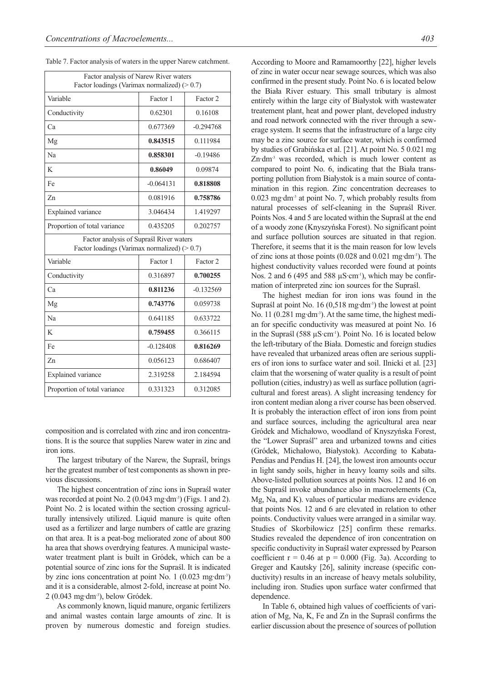| $\ldots$ actor analysis of waters in the apper function                                  |                      |             |  |  |  |  |
|------------------------------------------------------------------------------------------|----------------------|-------------|--|--|--|--|
| Factor analysis of Narew River waters<br>Factor loadings (Varimax normalized) $(>0.7)$   |                      |             |  |  |  |  |
| Variable                                                                                 | Factor 1             | Factor 2    |  |  |  |  |
| Conductivity                                                                             | 0.62301              | 0.16108     |  |  |  |  |
| Ca                                                                                       | 0.677369             | $-0.294768$ |  |  |  |  |
| Mg                                                                                       | 0.843515             | 0.111984    |  |  |  |  |
| Na                                                                                       | 0.858301             | $-0.19486$  |  |  |  |  |
| K                                                                                        | 0.86049              | 0.09874     |  |  |  |  |
| Fe                                                                                       | $-0.064131$          | 0.818808    |  |  |  |  |
| Zn                                                                                       | 0.081916             | 0.758786    |  |  |  |  |
| Explained variance                                                                       | 3.046434             | 1.419297    |  |  |  |  |
| Proportion of total variance                                                             | 0.435205             | 0.202757    |  |  |  |  |
| Factor analysis of Supraśl River waters<br>Factor loadings (Varimax normalized) $(>0.7)$ |                      |             |  |  |  |  |
| Variable                                                                                 | Factor 1             | Factor 2    |  |  |  |  |
| Conductivity                                                                             | 0.316897             | 0.700255    |  |  |  |  |
| Ca                                                                                       | 0.811236             | $-0.132569$ |  |  |  |  |
| Mg                                                                                       | 0.743776             | 0.059738    |  |  |  |  |
| Na                                                                                       | 0.641185             | 0.633722    |  |  |  |  |
| K                                                                                        | 0.759455             | 0.366115    |  |  |  |  |
| Fe                                                                                       | $-0.128408$          | 0.816269    |  |  |  |  |
| Zn                                                                                       | 0.056123             | 0.686407    |  |  |  |  |
| Explained variance                                                                       | 2.319258             | 2.184594    |  |  |  |  |
| Proportion of total variance                                                             | 0.331323<br>0.312085 |             |  |  |  |  |

Table 7. Factor analysis of waters in the upper Narew catchment.

composition and is correlated with zinc and iron concentrations. It is the source that supplies Narew water in zinc and iron ions.

The largest tributary of the Narew, the Supraśl, brings her the greatest number of test components as shown in previous discussions.

The highest concentration of zinc ions in Supraśl water was recorded at point No. 2 (0.043 mg·dm<sup>-3</sup>) (Figs. 1 and 2). Point No. 2 is located within the section crossing agriculturally intensively utilized. Liquid manure is quite often used as a fertilizer and large numbers of cattle are grazing on that area. It is a peat-bog meliorated zone of about 800 ha area that shows overdrying features. A municipal wastewater treatment plant is built in Gródek, which can be a potential source of zinc ions for the Supraśl. It is indicated by zinc ions concentration at point No. 1 (0.023 mg·dm-3) and it is a considerable, almost 2-fold, increase at point No.  $2(0.043 \text{ mg} \cdot \text{dm}^3)$ , below Gródek.

As commonly known, liquid manure, organic fertilizers and animal wastes contain large amounts of zinc. It is proven by numerous domestic and foreign studies. According to Moore and Ramamoorthy [22], higher levels of zinc in water occur near sewage sources, which was also confirmed in the present study. Point No. 6 is located below the Biała River estuary. This small tributary is almost entirely within the large city of Białystok with wastewater treatement plant, heat and power plant, developed industry and road network connected with the river through a sewerage system. It seems that the infrastructure of a large city may be a zinc source for surface water, which is confirmed by studies of Grabińska et al. [21]. At point No. 5 0.021 mg Zn·dm<sup>-3</sup> was recorded, which is much lower content as compared to point No. 6, indicating that the Biała transporting pollution from Białystok is a main source of contamination in this region. Zinc concentration decreases to 0.023 mg·dm-3 at point No. 7, which probably results from natural processes of self-cleaning in the Supraśl River. Points Nos. 4 and 5 are located within the Supraśl at the end of a woody zone (Knyszyńska Forest). No significant point and surface pollution sources are situated in that region. Therefore, it seems that it is the main reason for low levels of zinc ions at those points (0.028 and 0.021 mg·dm-3). The highest conductivity values recorded were found at points Nos. 2 and 6 (495 and 588  $\mu$ S·cm<sup>-1</sup>), which may be confirmation of interpreted zinc ion sources for the Supraśl.

The highest median for iron ions was found in the Supraśl at point No. 16 (0,518 mg·dm<sup>-3</sup>) the lowest at point No. 11 (0.281 mg·dm<sup>-3</sup>). At the same time, the highest median for specific conductivity was measured at point No. 16 in the Supraśl (588 µS·cm<sup>-1</sup>). Point No. 16 is located below the left-tributary of the Biała. Domestic and foreign studies have revealed that urbanized areas often are serious suppliers of iron ions to surface water and soil. Ilnicki et al. [23] claim that the worsening of water quality is a result of point pollution (cities, industry) as well as surface pollution (agricultural and forest areas). A slight increasing tendency for iron content median along a river course has been observed. It is probably the interaction effect of iron ions from point and surface sources, including the agricultural area near Gródek and Michałowo, woodland of Knyszyńska Forest, the "Lower Supraśl" area and urbanized towns and cities (Gródek, Michałowo, Białystok). According to Kabata-Pendias and Pendias H. [24], the lowest iron amounts occur in light sandy soils, higher in heavy loamy soils and silts. Above-listed pollution sources at points Nos. 12 and 16 on the Supraśl invoke abundance also in macroelements (Ca, Mg, Na, and K). values of particular medians are evidence that points Nos. 12 and 6 are elevated in relation to other points. Conductivity values were arranged in a similar way. Studies of Skorbiłowicz [25] confirm these remarks. Studies revealed the dependence of iron concentration on specific conductivity in Supraśl water expressed by Pearson coefficient  $r = 0.46$  at  $p = 0.000$  (Fig. 3a). According to Greger and Kautsky [26], salinity increase (specific conductivity) results in an increase of heavy metals solubility, including iron. Studies upon surface water confirmed that dependence.

In Table 6, obtained high values of coefficients of variation of Mg, Na, K, Fe and Zn in the Supraśl confirms the earlier discussion about the presence of sources of pollution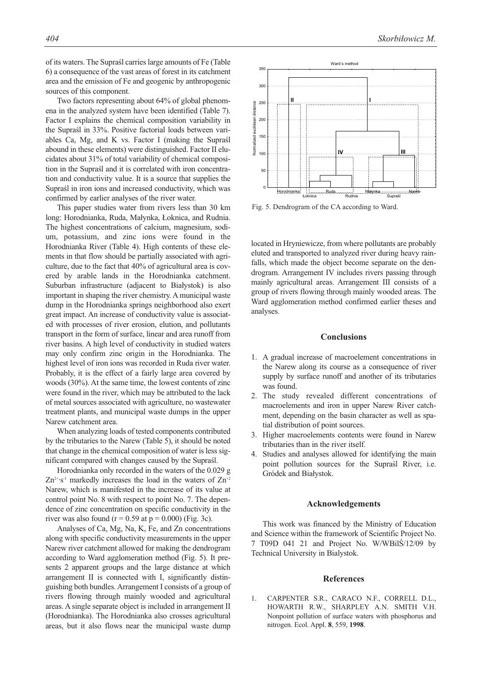of its waters. The Supraśl carries large amounts of Fe (Table 6) a consequence of the vast areas of forest in its catchment area and the emission of Fe and geogenic by anthropogenic sources of this component.

Two factors representing about 64% of global phenomena in the analyzed system have been identified (Table 7). Factor I explains the chemical composition variability in the Supraśl in 33%. Positive factorial loads between variables Ca, Mg, and K vs. Factor I (making the Supraśl abound in these elements) were distinguished. Factor II elucidates about 31% of total variability of chemical composition in the Supraśl and it is correlated with iron concentration and conductivity value. It is a source that supplies the Supraśl in iron ions and increased conductivity, which was confirmed by earlier analyses of the river water.

This paper studies water from rivers less than 30 km long: Horodnianka, Ruda, Małynka, Łoknica, and Rudnia. The highest concentrations of calcium, magnesium, sodium, potassium, and zinc ions were found in the Horodnianka River (Table 4). High contents of these elements in that flow should be partially associated with agriculture, due to the fact that 40% of agricultural area is covered by arable lands in the Horodnianka catchment. Suburban infrastructure (adjacent to Białystok) is also important in shaping the river chemistry. A municipal waste dump in the Horodnianka springs neighborhood also exert great impact. An increase of conductivity value is associated with processes of river erosion, elution, and pollutants transport in the form of surface, linear and area runoff from river basins. A high level of conductivity in studied waters may only confirm zinc origin in the Horodnianka. The highest level of iron ions was recorded in Ruda river water. Probably, it is the effect of a fairly large area covered by woods (30%). At the same time, the lowest contents of zinc were found in the river, which may be attributed to the lack of metal sources associated with agriculture, no wastewater treatment plants, and municipal waste dumps in the upper Narew catchment area.

When analyzing loads of tested components contributed by the tributaries to the Narew (Table 5), it should be noted that change in the chemical composition of water is less significant compared with changes caused by the Supraśl.

Horodnianka only recorded in the waters of the 0.029 g  $Zn^{2+}\cdot s^{-1}$  markedly increases the load in the waters of  $Zn^{+2}$ Narew, which is manifested in the increase of its value at control point No. 8 with respect to point No. 7. The dependence of zinc concentration on specific conductivity in the river was also found ( $r = 0.59$  at  $p = 0.000$ ) (Fig. 3c).

Analyses of Ca, Mg, Na, K, Fe, and Zn concentrations along with specific conductivity measurements in the upper Narew river catchment allowed for making the dendrogram according to Ward agglomeration method (Fig. 5). It presents 2 apparent groups and the large distance at which arrangement II is connected with I, significantly distinguishing both bundles. Arrangement I consists of a group of rivers flowing through mainly wooded and agricultural areas. A single separate object is included in arrangement II (Horodnianka). The Horodnianka also crosses agricultural areas, but it also flows near the municipal waste dump



Fig. 5. Dendrogram of the CA according to Ward.

located in Hryniewicze, from where pollutants are probably eluted and transported to analyzed river during heavy rainfalls, which made the object become separate on the dendrogram. Arrangement IV includes rivers passing through mainly agricultural areas. Arrangement III consists of a group of rivers flowing through mainly wooded areas. The Ward agglomeration method confirmed earlier theses and analyses.

## **Conclusions**

- 1. A gradual increase of macroelement concentrations in the Narew along its course as a consequence of river supply by surface runoff and another of its tributaries was found.
- 2. The study revealed different concentrations of macroelements and iron in upper Narew River catchment, depending on the basin character as well as spatial distribution of point sources.
- 3. Higher macroelements contents were found in Narew tributaries than in the river itself.
- 4. Studies and analyses allowed for identifying the main point pollution sources for the Supraśl River, i.e. Gródek and Białystok.

### **Acknowledgements**

This work was financed by the Ministry of Education and Science within the framework of Scientific Project No. 7 T09D 041 21 and Project No. W/WBilŚ/12/09 by Technical University in Bialystok.

#### **References**

1. CARPENTER S.R., CARACO N.F., CORRELL D.L., HOWARTH R.W., SHARPLEY A.N. SMITH V.H. Nonpoint pollution of surface waters with phosphorus and nitrogen. Ecol. Appl. **8**, 559, **1998**.